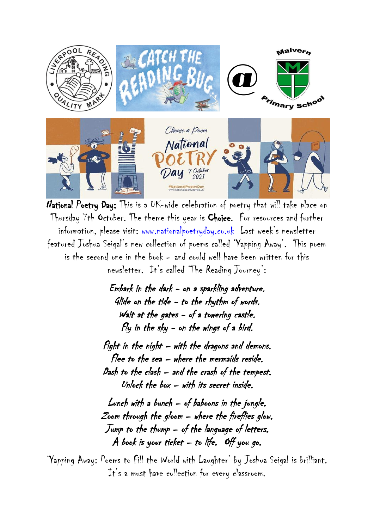

National Poetry Day: This is a UK-wide celebration of poetry that will take place on Thursday 7th October. The theme this year is Choice. For resources and further information, please visit: [www.nationalpoetryday.co.uk](http://www.nationalpoetryday.co.uk/) Last week's newsletter featured Joshua Seigal's new collection of poems called 'Yapping Away'. This poem is the second one in the book – and could well have been written for this newsletter. It's called 'The Reading Journey':

> Embark in the dark - on a sparkling adventure. Glide on the tide - to the rhythm of words. Wait at the gates - of a towering castle. Fly in the sky - on the wings of a bird.

Fight in the night – with the dragons and demons. Flee to the sea – where the mermaids reside. Dash to the clash – and the crash of the tempest. Unlock the box  $-$  with its secret inside.

Lunch with a bunch – of baboons in the jungle. Zoom through the gloom – where the fireflies glow. Jump to the thump – of the language of letters. A book is your ticket  $-$  to life. Off you go.

'Yapping Away: Poems to Fill the World with Laughter' by Joshua Seigal is brilliant. It's a must have collection for every classroom.